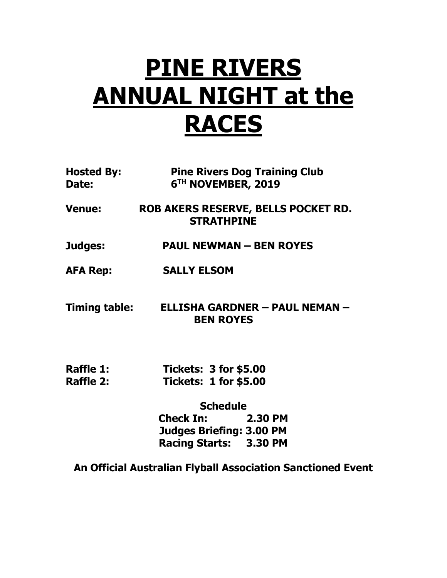## **PINE RIVERS ANNUAL NIGHT at the RACES**

| <b>Hosted By:</b><br>Date: | <b>Pine Rivers Dog Training Club</b><br>6 <sup>TH</sup> NOVEMBER, 2019 |
|----------------------------|------------------------------------------------------------------------|
| <b>Venue:</b>              | ROB AKERS RESERVE, BELLS POCKET RD.<br><b>STRATHPINE</b>               |
| Judges:                    | <b>PAUL NEWMAN - BEN ROYES</b>                                         |
| <b>AFA Rep:</b>            | <b>SALLY ELSOM</b>                                                     |
| <b>Timing table:</b>       | ELLISHA GARDNER - PAUL NEMAN -<br><b>BEN ROYES</b>                     |
| Raffle 1:<br>Raffle 2:     | <b>Tickets: 3 for \$5.00</b><br><b>Tickets: 1 for \$5.00</b>           |

**Schedule Check In: 2.30 PM Judges Briefing: 3.00 PM Racing Starts: 3.30 PM**

**An Official Australian Flyball Association Sanctioned Event**